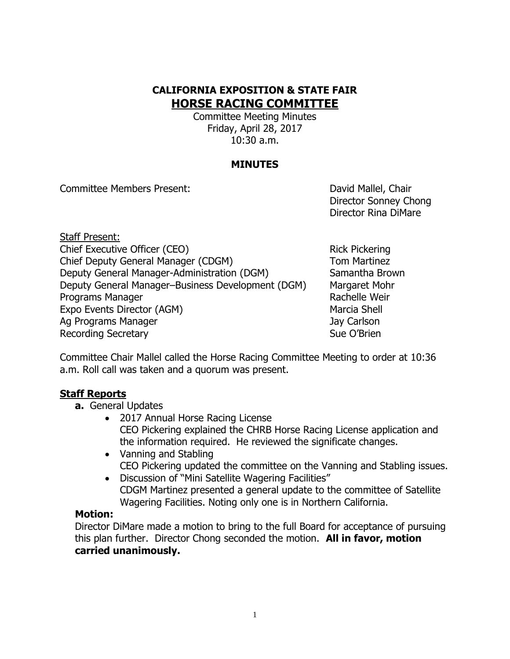## **CALIFORNIA EXPOSITION & STATE FAIR HORSE RACING COMMITTEE**

Committee Meeting Minutes Friday, April 28, 2017 10:30 a.m.

### **MINUTES**

Committee Members Present: David Mallel, Chair

Director Sonney Chong Director Rina DiMare

Staff Present: Chief Executive Officer (CEO) Rick Pickering Chief Deputy General Manager (CDGM) Tom Martinez Deputy General Manager-Administration (DGM) Samantha Brown Deputy General Manager–Business Development (DGM) Margaret Mohr Programs Manager **Rachelle Weir** Rachelle Weir Expo Events Director (AGM) Marcia Shell Ag Programs Manager Jay Carlson Recording Secretary **Sue O'Brien** Sue O'Brien

Committee Chair Mallel called the Horse Racing Committee Meeting to order at 10:36 a.m. Roll call was taken and a quorum was present.

#### **Staff Reports**

- **a.** General Updates
	- 2017 Annual Horse Racing License CEO Pickering explained the CHRB Horse Racing License application and the information required. He reviewed the significate changes.
	- Vanning and Stabling CEO Pickering updated the committee on the Vanning and Stabling issues.
	- Discussion of "Mini Satellite Wagering Facilities" CDGM Martinez presented a general update to the committee of Satellite Wagering Facilities. Noting only one is in Northern California.

#### **Motion:**

Director DiMare made a motion to bring to the full Board for acceptance of pursuing this plan further. Director Chong seconded the motion. **All in favor, motion carried unanimously.**